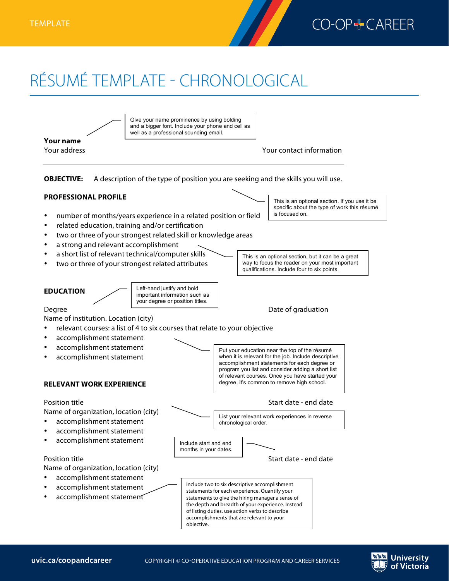

**University** of Victoria

## RÉSUMÉ TEMPLATE - CHRONOLOGICAL